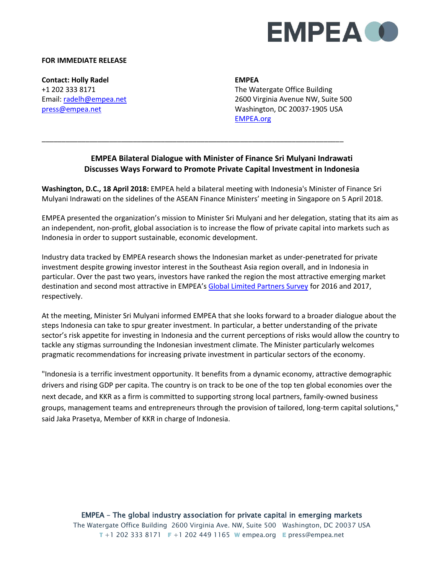

## **FOR IMMEDIATE RELEASE**

**Contact: Holly Radel**  +1 202 333 8171 Email[: radelh@empea.net](mailto:radelh@empea.net) [press@empea.net](mailto:press@empea.net)

**EMPEA**

The Watergate Office Building 2600 Virginia Avenue NW, Suite 500 Washington, DC 20037-1905 USA [EMPEA.org](https://empea.org/)

## **EMPEA Bilateral Dialogue with Minister of Finance Sri Mulyani Indrawati Discusses Ways Forward to Promote Private Capital Investment in Indonesia**

**Washington, D.C., 18 April 2018:** EMPEA held a bilateral meeting with Indonesia's Minister of Finance Sri Mulyani Indrawati on the sidelines of the ASEAN Finance Ministers' meeting in Singapore on 5 April 2018.

\_\_\_\_\_\_\_\_\_\_\_\_\_\_\_\_\_\_\_\_\_\_\_\_\_\_\_\_\_\_\_\_\_\_\_\_\_\_\_\_\_\_\_\_\_\_\_\_\_\_\_\_\_\_\_\_\_\_\_\_\_\_\_\_\_\_\_\_\_\_\_\_\_\_\_\_

EMPEA presented the organization's mission to Minister Sri Mulyani and her delegation, stating that its aim as an independent, non-profit, global association is to increase the flow of private capital into markets such as Indonesia in order to support sustainable, economic development.

Industry data tracked by EMPEA research shows the Indonesian market as under-penetrated for private investment despite growing investor interest in the Southeast Asia region overall, and in Indonesia in particular. Over the past two years, investors have ranked the region the most attractive emerging market destination and second most attractive in EMPEA's [Global Limited Partners Survey](https://www.empea.org/app/uploads/2017/07/2017_LP_Survey_WEB.pdf) for 2016 and 2017, respectively.

At the meeting, Minister Sri Mulyani informed EMPEA that she looks forward to a broader dialogue about the steps Indonesia can take to spur greater investment. In particular, a better understanding of the private sector's risk appetite for investing in Indonesia and the current perceptions of risks would allow the country to tackle any stigmas surrounding the Indonesian investment climate. The Minister particularly welcomes pragmatic recommendations for increasing private investment in particular sectors of the economy.

"Indonesia is a terrific investment opportunity. It benefits from a dynamic economy, attractive demographic drivers and rising GDP per capita. The country is on track to be one of the top ten global economies over the next decade, and KKR as a firm is committed to supporting strong local partners, family-owned business groups, management teams and entrepreneurs through the provision of tailored, long-term capital solutions," said Jaka Prasetya, Member of KKR in charge of Indonesia.